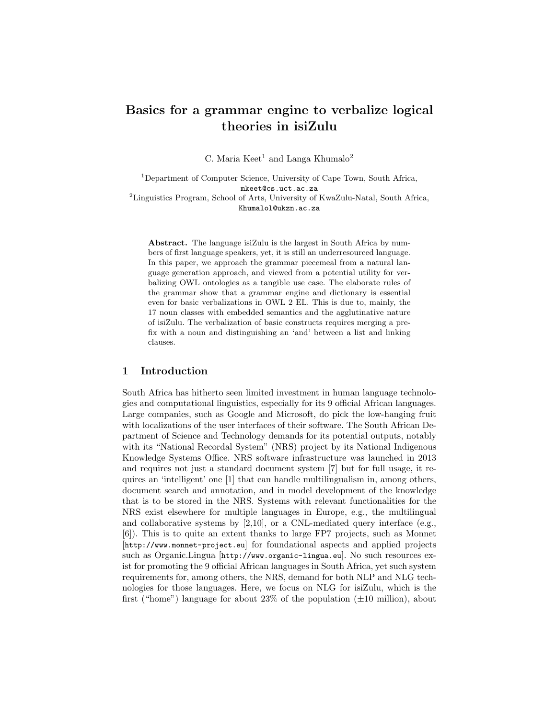# Basics for a grammar engine to verbalize logical theories in isiZulu

C. Maria  $Kee^{1}$  and Langa Khumalo<sup>2</sup>

<sup>1</sup>Department of Computer Science, University of Cape Town, South Africa, mkeet@cs.uct.ac.za <sup>2</sup>Linguistics Program, School of Arts, University of KwaZulu-Natal, South Africa, Khumalol@ukzn.ac.za

Abstract. The language isiZulu is the largest in South Africa by numbers of first language speakers, yet, it is still an underresourced language. In this paper, we approach the grammar piecemeal from a natural language generation approach, and viewed from a potential utility for verbalizing OWL ontologies as a tangible use case. The elaborate rules of the grammar show that a grammar engine and dictionary is essential even for basic verbalizations in OWL 2 EL. This is due to, mainly, the 17 noun classes with embedded semantics and the agglutinative nature of isiZulu. The verbalization of basic constructs requires merging a prefix with a noun and distinguishing an 'and' between a list and linking clauses.

#### 1 Introduction

South Africa has hitherto seen limited investment in human language technologies and computational linguistics, especially for its 9 official African languages. Large companies, such as Google and Microsoft, do pick the low-hanging fruit with localizations of the user interfaces of their software. The South African Department of Science and Technology demands for its potential outputs, notably with its "National Recordal System" (NRS) project by its National Indigenous Knowledge Systems Office. NRS software infrastructure was launched in 2013 and requires not just a standard document system [7] but for full usage, it requires an 'intelligent' one [1] that can handle multilingualism in, among others, document search and annotation, and in model development of the knowledge that is to be stored in the NRS. Systems with relevant functionalities for the NRS exist elsewhere for multiple languages in Europe, e.g., the multilingual and collaborative systems by [2,10], or a CNL-mediated query interface (e.g., [6]). This is to quite an extent thanks to large FP7 projects, such as Monnet [http://www.monnet-project.eu] for foundational aspects and applied projects such as Organic.Lingua [http://www.organic-lingua.eu]. No such resources exist for promoting the 9 official African languages in South Africa, yet such system requirements for, among others, the NRS, demand for both NLP and NLG technologies for those languages. Here, we focus on NLG for isiZulu, which is the first ("home") language for about  $23\%$  of the population ( $\pm 10$  million), about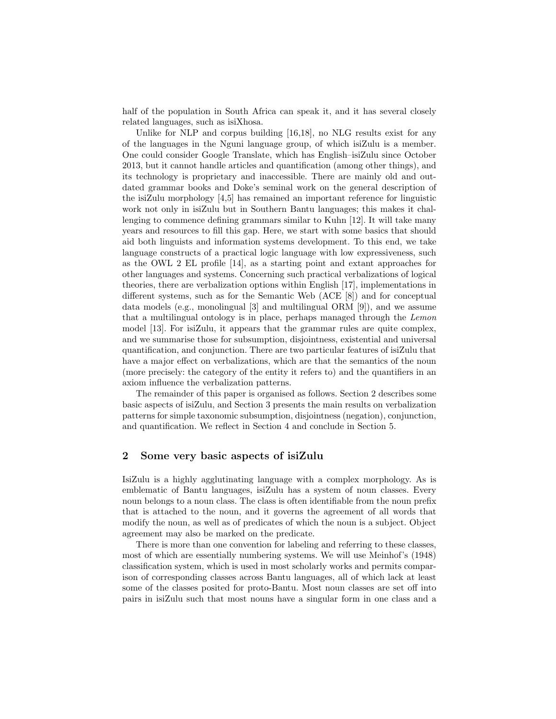half of the population in South Africa can speak it, and it has several closely related languages, such as isiXhosa.

Unlike for NLP and corpus building [16,18], no NLG results exist for any of the languages in the Nguni language group, of which isiZulu is a member. One could consider Google Translate, which has English–isiZulu since October 2013, but it cannot handle articles and quantification (among other things), and its technology is proprietary and inaccessible. There are mainly old and outdated grammar books and Doke's seminal work on the general description of the isiZulu morphology [4,5] has remained an important reference for linguistic work not only in isiZulu but in Southern Bantu languages; this makes it challenging to commence defining grammars similar to Kuhn [12]. It will take many years and resources to fill this gap. Here, we start with some basics that should aid both linguists and information systems development. To this end, we take language constructs of a practical logic language with low expressiveness, such as the OWL 2 EL profile [14], as a starting point and extant approaches for other languages and systems. Concerning such practical verbalizations of logical theories, there are verbalization options within English [17], implementations in different systems, such as for the Semantic Web (ACE [8]) and for conceptual data models (e.g., monolingual [3] and multilingual ORM [9]), and we assume that a multilingual ontology is in place, perhaps managed through the Lemon model [13]. For isiZulu, it appears that the grammar rules are quite complex, and we summarise those for subsumption, disjointness, existential and universal quantification, and conjunction. There are two particular features of isiZulu that have a major effect on verbalizations, which are that the semantics of the noun (more precisely: the category of the entity it refers to) and the quantifiers in an axiom influence the verbalization patterns.

The remainder of this paper is organised as follows. Section 2 describes some basic aspects of isiZulu, and Section 3 presents the main results on verbalization patterns for simple taxonomic subsumption, disjointness (negation), conjunction, and quantification. We reflect in Section 4 and conclude in Section 5.

#### 2 Some very basic aspects of isiZulu

IsiZulu is a highly agglutinating language with a complex morphology. As is emblematic of Bantu languages, isiZulu has a system of noun classes. Every noun belongs to a noun class. The class is often identifiable from the noun prefix that is attached to the noun, and it governs the agreement of all words that modify the noun, as well as of predicates of which the noun is a subject. Object agreement may also be marked on the predicate.

There is more than one convention for labeling and referring to these classes, most of which are essentially numbering systems. We will use Meinhof's (1948) classification system, which is used in most scholarly works and permits comparison of corresponding classes across Bantu languages, all of which lack at least some of the classes posited for proto-Bantu. Most noun classes are set off into pairs in isiZulu such that most nouns have a singular form in one class and a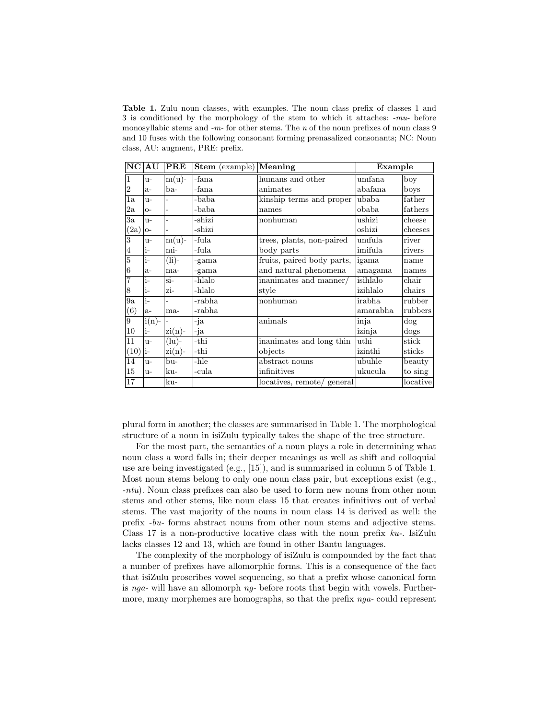Table 1. Zulu noun classes, with examples. The noun class prefix of classes 1 and 3 is conditioned by the morphology of the stem to which it attaches: -mu- before monosyllabic stems and  $-m$ - for other stems. The n of the noun prefixes of noun class 9 and 10 fuses with the following consonant forming prenasalized consonants; NC: Noun class, AU: augment, PRE: prefix.

| NC             | $\bf{A}$ U | $ {\rm PRE}$             | <b>Stem</b> (example) <b>Meaning</b> |                            | Example  |          |
|----------------|------------|--------------------------|--------------------------------------|----------------------------|----------|----------|
| 1              | $u-$       | $m(u)$ -                 | -fana                                | humans and other           | umfana   | boy      |
| $\overline{2}$ | $a-$       | ba-                      | -fana                                | animates                   | abafana  | boys     |
| 1a             | $u-$       |                          | -baba                                | kinship terms and proper   | ubaba    | father   |
| 2a             | $O-$       |                          | -baba                                | names                      | obaba    | fathers  |
| 3a             | $11 -$     |                          | -shizi                               | nonhuman                   | ushizi   | cheese   |
| (2a)           | $O-$       |                          | -shizi                               |                            | oshizi   | cheeses  |
| 3              | $u-$       | $m(u)$ -                 | -fula                                | trees, plants, non-paired  | umfula   | river    |
| 4              | i-         | mi-                      | -fula                                | body parts                 | imifula  | rivers   |
| $\overline{5}$ | i-         | $(li)$ -                 | -gama                                | fruits, paired body parts, | igama    | name     |
| 6              | $a-$       | ma-                      | -gama                                | and natural phenomena      | amagama  | names    |
| $\overline{7}$ | i-         | si-                      | -hlalo                               | inanimates and manner/     | isihlalo | chair    |
| 8              | i-         | zi-                      | -hlalo                               | style                      | izihlalo | chairs   |
| 9a             | i-         |                          | -rabha                               | nonhuman                   | irabha   | rubber   |
| (6)            | $a-$       | ma-                      | -rabha                               |                            | amarabha | rubbers  |
| 9              | $i(n)$ -   |                          | -ja                                  | animals                    | inja     | $\log$   |
| 10             | $i-$       | $\operatorname{zi}(n)$ - | -ja                                  |                            | izinja   | $\log s$ |
| 11             | $11 -$     | $(lu)$ -                 | -thi                                 | inanimates and long thin   | uthi     | stick    |
| (10)           | i-         | $\operatorname{zi}(n)$ - | -thi                                 | objects                    | izinthi  | sticks   |
| 14             | $u-$       | bu-                      | -hle                                 | abstract nouns             | ubuhle   | beauty   |
| 15             | $11 -$     | ku-                      | -cula                                | infinitives                | ukucula  | to sing  |
| 17             |            | ku-                      |                                      | locatives, remote/general  |          | locative |

plural form in another; the classes are summarised in Table 1. The morphological structure of a noun in isiZulu typically takes the shape of the tree structure.

For the most part, the semantics of a noun plays a role in determining what noun class a word falls in; their deeper meanings as well as shift and colloquial use are being investigated (e.g., [15]), and is summarised in column 5 of Table 1. Most noun stems belong to only one noun class pair, but exceptions exist (e.g., -ntu). Noun class prefixes can also be used to form new nouns from other noun stems and other stems, like noun class 15 that creates infinitives out of verbal stems. The vast majority of the nouns in noun class 14 is derived as well: the prefix -bu- forms abstract nouns from other noun stems and adjective stems. Class 17 is a non-productive locative class with the noun prefix  $ku$ -. IsiZulu lacks classes 12 and 13, which are found in other Bantu languages.

The complexity of the morphology of isiZulu is compounded by the fact that a number of prefixes have allomorphic forms. This is a consequence of the fact that isiZulu proscribes vowel sequencing, so that a prefix whose canonical form is nga- will have an allomorph ng- before roots that begin with vowels. Furthermore, many morphemes are homographs, so that the prefix nga- could represent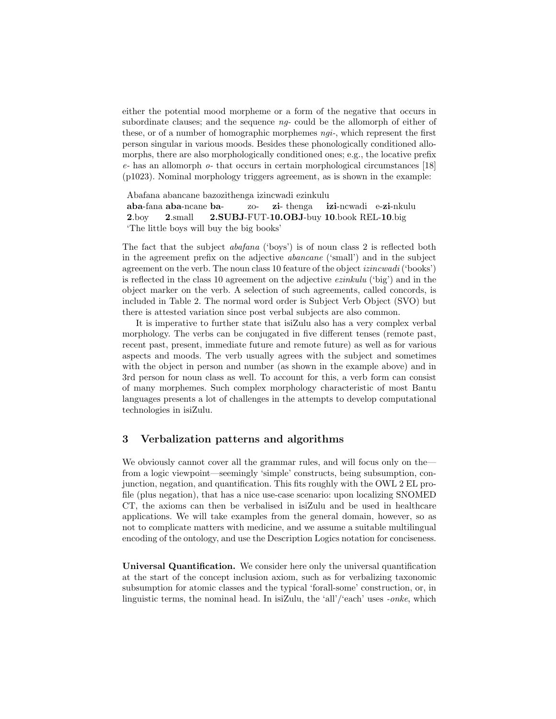either the potential mood morpheme or a form of the negative that occurs in subordinate clauses; and the sequence ng- could be the allomorph of either of these, or of a number of homographic morphemes  $nqi$ , which represent the first person singular in various moods. Besides these phonologically conditioned allomorphs, there are also morphologically conditioned ones; e.g., the locative prefix e- has an allomorph o- that occurs in certain morphological circumstances [18] (p1023). Nominal morphology triggers agreement, as is shown in the example:

Abafana abancane bazozithenga izincwadi ezinkulu aba-fana aba-ncane ba- zo- zi- thenga izi-ncwadi e-zi-nkulu 2.boy 2.small 2.SUBJ-FUT-10.OBJ-buy 10.book REL-10.big 'The little boys will buy the big books'

The fact that the subject abafana ('boys') is of noun class 2 is reflected both in the agreement prefix on the adjective abancane ('small') and in the subject agreement on the verb. The noun class 10 feature of the object izincwadi ('books') is reflected in the class 10 agreement on the adjective ezinkulu ('big') and in the object marker on the verb. A selection of such agreements, called concords, is included in Table 2. The normal word order is Subject Verb Object (SVO) but there is attested variation since post verbal subjects are also common.

It is imperative to further state that isiZulu also has a very complex verbal morphology. The verbs can be conjugated in five different tenses (remote past, recent past, present, immediate future and remote future) as well as for various aspects and moods. The verb usually agrees with the subject and sometimes with the object in person and number (as shown in the example above) and in 3rd person for noun class as well. To account for this, a verb form can consist of many morphemes. Such complex morphology characteristic of most Bantu languages presents a lot of challenges in the attempts to develop computational technologies in isiZulu.

# 3 Verbalization patterns and algorithms

We obviously cannot cover all the grammar rules, and will focus only on the from a logic viewpoint—seemingly 'simple' constructs, being subsumption, conjunction, negation, and quantification. This fits roughly with the OWL 2 EL profile (plus negation), that has a nice use-case scenario: upon localizing SNOMED CT, the axioms can then be verbalised in isiZulu and be used in healthcare applications. We will take examples from the general domain, however, so as not to complicate matters with medicine, and we assume a suitable multilingual encoding of the ontology, and use the Description Logics notation for conciseness.

Universal Quantification. We consider here only the universal quantification at the start of the concept inclusion axiom, such as for verbalizing taxonomic subsumption for atomic classes and the typical 'forall-some' construction, or, in linguistic terms, the nominal head. In isiZulu, the 'all'/'each' uses -onke, which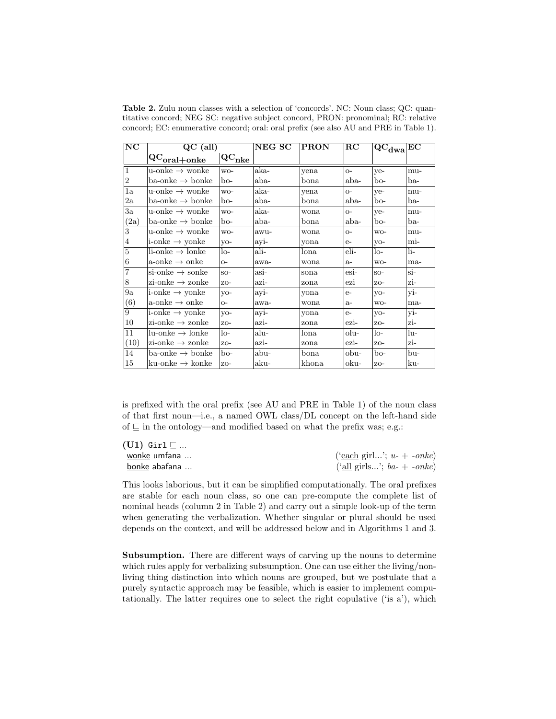| NC             | $QC$ (all)                                    |                        | NEG SC | <b>PRON</b> | $\mathbf{R} \mathbf{C}$ | $QC_{dwa}$ EC |        |
|----------------|-----------------------------------------------|------------------------|--------|-------------|-------------------------|---------------|--------|
|                | $\operatorname{QC}_{\text{oral}+\text{onke}}$ | $ {\rm QC}_{\rm nke} $ |        |             |                         |               |        |
| $\mathbf{1}$   | u-onke $\rightarrow$ wonke                    | WO-                    | aka-   | yena        | $O-$                    | ye-           | mu-    |
| $\overline{2}$ | ba-onke $\rightarrow$ bonke                   | $b^{\rm oo-}$          | aba-   | bona        | aba-                    | $b^o$         | ba-    |
| 1a             | u-onke $\rightarrow$ wonke                    | W <sub>O</sub> -       | aka-   | yena        | $O-$                    | ye-           | mu-    |
| $2\mathrm{a}$  | ba-onke $\rightarrow$ bonke                   | bo-                    | aba-   | bona        | aba-                    | $b^{\rm oo-}$ | ba-    |
| 3a             | u-onke $\rightarrow$ wonke                    | W <sub>O</sub> -       | aka-   | wona.       | $O-$                    | ve-           | mu-    |
| (2a)           | ba-onke $\rightarrow$ bonke                   | bo-                    | aba-   | bona        | aba-                    | bo-           | ba-    |
| 3              | u-onke $\rightarrow$ wonke                    | WO-                    | awu-   | wona        | $O-$                    | WO-           | mu-    |
| 4              | i-onke $\rightarrow$ yonke                    | $VO-$                  | ayi-   | vona        | $e-$                    | $VO-$         | mi-    |
| 5              | $l$ i-onke $\rightarrow$ lonke                | $10-$                  | ali-   | lona        | eli-                    | $\log$        | li-    |
| 6              | a-onke $\rightarrow$ onke                     | $O-$                   | awa-   | wona        | $a-$                    | $WO-$         | ma-    |
| $\overline{7}$ | si-onke $\rightarrow$ sonke                   | $SO-$                  | asi-   | sona        | esi-                    | $SO-$         | $\sin$ |
| 8              | zi-onke $\rightarrow$ zonke                   | $ZO-$                  | azi-   | zona        | ezi                     | $ZO-$         | zi-    |
| 9a             | i-onke $\rightarrow$ yonke                    | $VO-$                  | ayi-   | vona        | $e-$                    | $VO-$         | yi-    |
| (6)            | a-onke $\rightarrow$ onke                     | $O-$                   | awa-   | wona        | $a-$                    | $WO-$         | ma-    |
| 9              | i-onke $\rightarrow$ yonke                    | $VO-$                  | ayi-   | yona        | $e-$                    | $VO-$         | yi-    |
| 10             | $zi$ -onke $\rightarrow$ zonke                | $ZO-$                  | azi-   | zona        | ezi-                    | $ZO-$         | zi-    |
| 11             | $lu\text{-onke} \rightarrow \text{lonke}$     | $10-$                  | alu-   | lona        | olu-                    | $\log$        | lu-    |
| (10)           | $zi$ -onke $\rightarrow$ zonke                | $ZO-$                  | azi-   | zona.       | ezi-                    | $ZO-$         | zi-    |
| 14             | ba-onke $\rightarrow$ bonke                   | bo-                    | abu-   | bona        | obu-                    | $b^{\rm o-}$  | bu-    |
| 15             | ku-onke $\rightarrow$ konke                   | $ZO-$                  | aku-   | khona       | oku-                    | $ZO-$         | ku-    |

Table 2. Zulu noun classes with a selection of 'concords'. NC: Noun class; QC: quantitative concord; NEG SC: negative subject concord, PRON: pronominal; RC: relative concord; EC: enumerative concord; oral: oral prefix (see also AU and PRE in Table 1).

is prefixed with the oral prefix (see AU and PRE in Table 1) of the noun class of that first noun—i.e., a named OWL class/DL concept on the left-hand side of  $\Box$  in the ontology—and modified based on what the prefix was; e.g.:

| $(U1)$ Girl $\sqsubseteq $ |                                   |
|----------------------------|-----------------------------------|
| wonke umfana               | $(*each girl"; u-+-onke)$         |
| bonke abafana              | $({\text{all girls}}; ba+ -onke)$ |

This looks laborious, but it can be simplified computationally. The oral prefixes are stable for each noun class, so one can pre-compute the complete list of nominal heads (column 2 in Table 2) and carry out a simple look-up of the term when generating the verbalization. Whether singular or plural should be used depends on the context, and will be addressed below and in Algorithms 1 and 3.

Subsumption. There are different ways of carving up the nouns to determine which rules apply for verbalizing subsumption. One can use either the living/nonliving thing distinction into which nouns are grouped, but we postulate that a purely syntactic approach may be feasible, which is easier to implement computationally. The latter requires one to select the right copulative ('is a'), which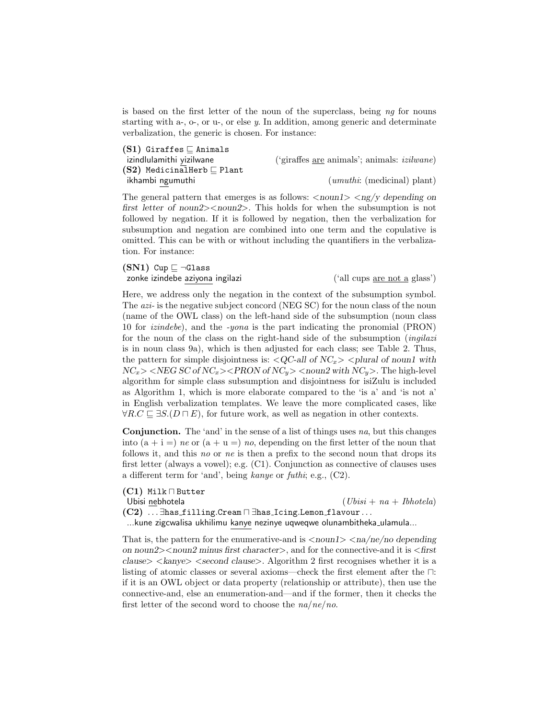is based on the first letter of the noun of the superclass, being ng for nouns starting with a-,  $o$ -, or u-, or else y. In addition, among generic and determinate verbalization, the generic is chosen. For instance:

(S1) Giraffes  $\sqsubseteq$  Animals (S2) MedicinalHerb  $\sqsubseteq$  Plant ikhambi ngumuthi (umuthi: (medicinal) plant)

izindlulamithi yizilwane ('giraffes are animals'; animals: izilwane)

The general pattern that emerges is as follows:  $\langle n \text{ i} \rangle \langle n \text{ i} \rangle$  depending on first letter of noun2> $\lt$ noun2>. This holds for when the subsumption is not followed by negation. If it is followed by negation, then the verbalization for subsumption and negation are combined into one term and the copulative is omitted. This can be with or without including the quantifiers in the verbalization. For instance:

(SN1) Cup  $\sqsubset \neg \text{Glass}$ zonke izindebe aziyona ingilazi ('all cups are not a glass')

Here, we address only the negation in the context of the subsumption symbol. The *azi*- is the negative subject concord (NEG SC) for the noun class of the noun (name of the OWL class) on the left-hand side of the subsumption (noun class 10 for izindebe), and the -yona is the part indicating the pronomial (PRON) for the noun of the class on the right-hand side of the subsumption *(ingilazi*) is in noun class 9a), which is then adjusted for each class; see Table 2. Thus, the pattern for simple disjointness is:  $\langle QC_{\text{all}}\rangle$  of NC<sub>x</sub>  $>$   $\langle$  plural of noun1 with  $NC_x$  > <NEG SC of  $NC_x$  > <PRON of  $NC_y$  > <noun2 with  $NC_y$  >. The high-level algorithm for simple class subsumption and disjointness for isiZulu is included as Algorithm 1, which is more elaborate compared to the 'is a' and 'is not a' in English verbalization templates. We leave the more complicated cases, like  $\forall R.C \sqsubseteq \exists S.(D \sqcap E)$ , for future work, as well as negation in other contexts.

Conjunction. The 'and' in the sense of a list of things uses na, but this changes into  $(a + i =)$  ne or  $(a + u =)$  no, depending on the first letter of the noun that follows it, and this no or ne is then a prefix to the second noun that drops its first letter (always a vowel); e.g. (C1). Conjunction as connective of clauses uses a different term for 'and', being kanye or futhi; e.g., (C2).

 $(C1)$  Milk  $\Box$  Butter

Ubisi nebhotela  $(Ubis_i + na + Ibhotela)$ 

 $(C2)$  ...  $\exists$ has\_filling.Cream  $\Box$   $\exists$ has\_Icing.Lemon\_flavour... ...kune zigcwalisa ukhilimu kanye nezinye uqweqwe olunambitheka\_ulamula...

That is, the pattern for the enumerative-and is  $\langle \text{noun1}\rangle \langle \text{na/ne/no}$  depending on noun2> $\le$ noun2 minus first character>, and for the connective-and it is  $\le$  first  $clause$  <kanye> <second clause>. Algorithm 2 first recognises whether it is a listing of atomic classes or several axioms—check the first element after the  $\Box$ : if it is an OWL object or data property (relationship or attribute), then use the connective-and, else an enumeration-and—and if the former, then it checks the first letter of the second word to choose the  $na/ne/no$ .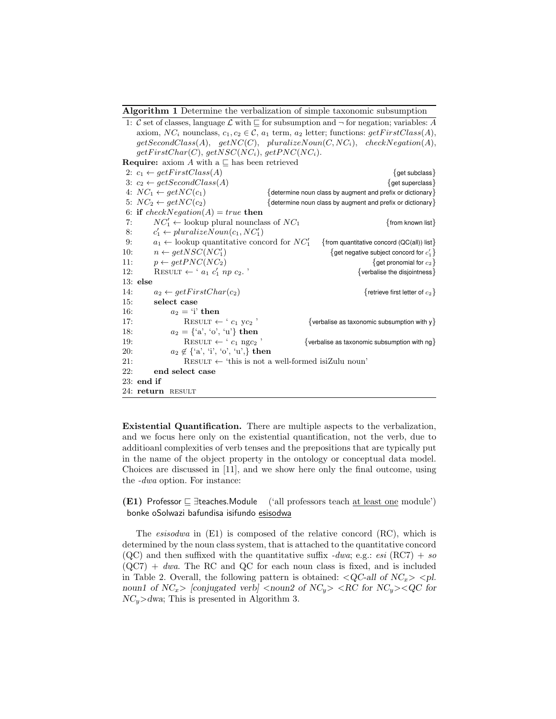Algorithm 1 Determine the verbalization of simple taxonomic subsumption

|     |                                                               | 1: C set of classes, language $\mathcal L$ with $\sqsubseteq$ for subsumption and $\neg$ for negation; variables: A |
|-----|---------------------------------------------------------------|---------------------------------------------------------------------------------------------------------------------|
|     |                                                               | axiom, $NC_i$ nounclass, $c_1, c_2 \in \mathcal{C}$ , $a_1$ term, $a_2$ letter; functions: $getFirstClass(A)$ ,     |
|     |                                                               | $getSecondClass(A), getNC(C), pluralizeNoun(C, NC_i), checkNegation(A),$                                            |
|     | $getFirstChar(C), getNSC(NC_i), getPNC(NC_i).$                |                                                                                                                     |
|     | <b>Require:</b> axiom A with a $\subseteq$ has been retrieved |                                                                                                                     |
|     | 2: $c_1 \leftarrow getFirstClass(A)$                          | $\{$ get subclass $\}$                                                                                              |
|     | 3: $c_2 \leftarrow getSecondClass(A)$                         | $\{$ get superclass $\}$                                                                                            |
|     | 4: $NC_1 \leftarrow getNC(c_1)$                               | $\{$ determine noun class by augment and prefix or dictionary $\}$                                                  |
|     | 5: $NC_2 \leftarrow getNC(c_2)$                               | $\{$ determine noun class by augment and prefix or dictionary $\}$                                                  |
|     | 6: if $checkNegation(A) = true$ then                          |                                                                                                                     |
| 7:  | $NC'_1 \leftarrow$ lookup plural nounclass of $NC_1$          | $\{$ from known list $\}$                                                                                           |
| 8:  | $c'_1 \leftarrow pluralizeNoun(c_1, NC'_1)$                   |                                                                                                                     |
| 9:  | $a_1 \leftarrow$ lookup quantitative concord for $NC'_1$      | {from quantitative concord (QC(all)) list}                                                                          |
| 10: | $n \leftarrow getNSC(NC_1')$                                  | {get negative subject concord for $c'_1$ }                                                                          |
| 11: | $p \leftarrow getPNC(NC_2)$                                   | {get pronomial for $c_2$ }                                                                                          |
| 12: | RESULT $\leftarrow$ ' $a_1$ $c'_1$ np $c_2$ .'                | $\{$ verbalise the disjointness $\}$                                                                                |
|     | $13:$ else                                                    |                                                                                                                     |
| 14: | $a_2 \leftarrow qetFirstChar(c_2)$                            | $\{$ retrieve first letter of $c_2$ $\}$                                                                            |
| 15: | select case                                                   |                                                                                                                     |
| 16: | $a_2 = \mathbf{i}'$ then                                      |                                                                                                                     |
| 17: | RESULT $\leftarrow$ ' $c_1$ y $c_2$ '                         | {verbalise as taxonomic subsumption with $y$ }                                                                      |
| 18: | $a_2 = \{a', 'o', 'u'\}$ then                                 |                                                                                                                     |
| 19: | RESULT $\leftarrow$ ' $c_1$ ng $c_2$ '                        | {verbalise as taxonomic subsumption with $ng$ }                                                                     |
| 20: | $a_2 \notin \{a', i', 'o', 'u'\}$ then                        |                                                                                                                     |
| 21: |                                                               | $RESULT \leftarrow 'this$ is not a well-formed isiZulu noun'                                                        |
| 22: | end select case                                               |                                                                                                                     |
|     | $23:$ end if                                                  |                                                                                                                     |
|     | 24: return RESULT                                             |                                                                                                                     |

Existential Quantification. There are multiple aspects to the verbalization, and we focus here only on the existential quantification, not the verb, due to additioanl complexities of verb tenses and the prepositions that are typically put in the name of the object property in the ontology or conceptual data model. Choices are discussed in [11], and we show here only the final outcome, using the -dwa option. For instance:

## (E1) Professor  $\sqsubseteq$  ∃teaches.Module ('all professors teach at least one module') bonke oSolwazi bafundisa isifundo esisodwa

The esisodwa in (E1) is composed of the relative concord (RC), which is determined by the noun class system, that is attached to the quantitative concord (QC) and then suffixed with the quantitative suffix -dwa; e.g.: esi (RC7) + so  $(QC7) + dwa$ . The RC and QC for each noun class is fixed, and is included in Table 2. Overall, the following pattern is obtained:  $\langle QC$ -all of  $NC_x$   $>$   $\langle pL \rangle$ . noun1 of  $NC_x$ > [conjugated verb] <noun2 of  $NC_y$ > <RC for  $NC_y$ ><QC for  $NC_y$ >dwa; This is presented in Algorithm 3.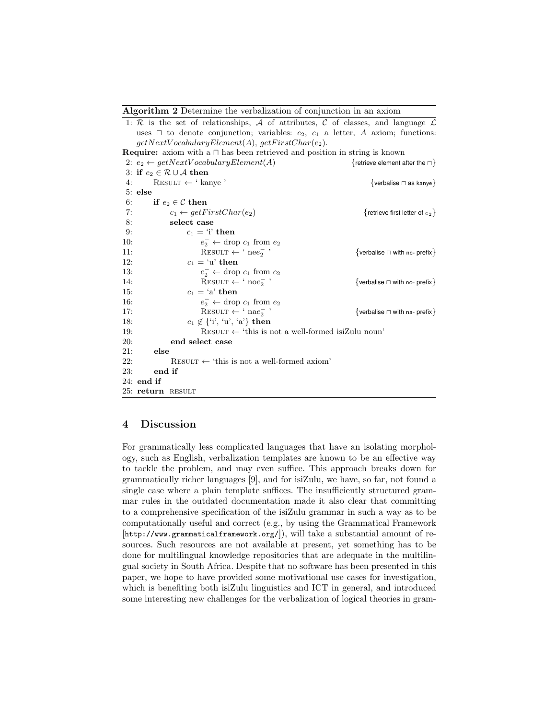Algorithm 2 Determine the verbalization of conjunction in an axiom

|     | 1: R is the set of relationships, A of attributes, C of classes, and language $\mathcal L$  |                                              |
|-----|---------------------------------------------------------------------------------------------|----------------------------------------------|
|     | uses $\sqcap$ to denote conjunction; variables: $e_2$ , $c_1$ a letter, A axiom; functions: |                                              |
|     | $getNextVocabular yElement(A), getFirstChar(e2).$                                           |                                              |
|     | <b>Require:</b> axiom with a $\sqcap$ has been retrieved and position in string is known    |                                              |
|     | 2: $e_2 \leftarrow getNextVocabularyElement(A)$                                             | {retrieve element after the $\sqcap$ }       |
|     | 3: if $e_2 \in \mathcal{R} \cup \mathcal{A}$ then                                           |                                              |
| 4:  | $RESULT \leftarrow 'kanye'$                                                                 | $\{$ verbalise $\sqcap$ as kanye $\}$        |
|     | $5:$ else                                                                                   |                                              |
| 6:  | if $e_2 \in \mathcal{C}$ then                                                               |                                              |
| 7:  | $c_1 \leftarrow \text{getFirstChar}(e_2)$                                                   | {retrieve first letter of $e_2$ }            |
| 8:  | select case                                                                                 |                                              |
| 9:  | $c_1 = \mathbf{i}'$ then                                                                    |                                              |
| 10: | $e_2^- \leftarrow$ drop $c_1$ from $e_2$                                                    |                                              |
| 11: | $\text{RESULT} \leftarrow \text{ 'nee}^{-}$                                                 | $\{$ verbalise $\sqcap$ with ne- prefix $\}$ |
| 12: | $c_1 = 'u'$ then                                                                            |                                              |
| 13: | $e_2^- \leftarrow \text{drop } c_1 \text{ from } e_2$                                       |                                              |
| 14: | RESULT $\leftarrow$ ' noe <sub>2</sub> '                                                    | $\{$ verbalise $\sqcap$ with no- prefix $\}$ |
| 15: | $c_1 = 'a'$ then                                                                            |                                              |
| 16: | $e_2^- \leftarrow \text{drop } c_1 \text{ from } e_2$                                       |                                              |
| 17: | $\text{RESULT} \leftarrow \text{' nae}^-$                                                   | $\{$ verbalise $\sqcap$ with na- prefix $\}$ |
| 18: | $c_1 \notin \{\text{'i'}, \text{'u'}, \text{'a'}\}$ then                                    |                                              |
| 19: | RESULT $\leftarrow$ 'this is not a well-formed isiZulu noun'                                |                                              |
| 20: | end select case                                                                             |                                              |
| 21: | else                                                                                        |                                              |
| 22: | RESULT $\leftarrow$ 'this is not a well-formed axiom'                                       |                                              |
| 23: | end if                                                                                      |                                              |
|     | $24:$ end if                                                                                |                                              |
|     | 25: return RESULT                                                                           |                                              |

# 4 Discussion

For grammatically less complicated languages that have an isolating morphology, such as English, verbalization templates are known to be an effective way to tackle the problem, and may even suffice. This approach breaks down for grammatically richer languages [9], and for isiZulu, we have, so far, not found a single case where a plain template suffices. The insufficiently structured grammar rules in the outdated documentation made it also clear that committing to a comprehensive specification of the isiZulu grammar in such a way as to be computationally useful and correct (e.g., by using the Grammatical Framework [http://www.grammaticalframework.org/]), will take a substantial amount of resources. Such resources are not available at present, yet something has to be done for multilingual knowledge repositories that are adequate in the multilingual society in South Africa. Despite that no software has been presented in this paper, we hope to have provided some motivational use cases for investigation, which is benefiting both isiZulu linguistics and ICT in general, and introduced some interesting new challenges for the verbalization of logical theories in gram-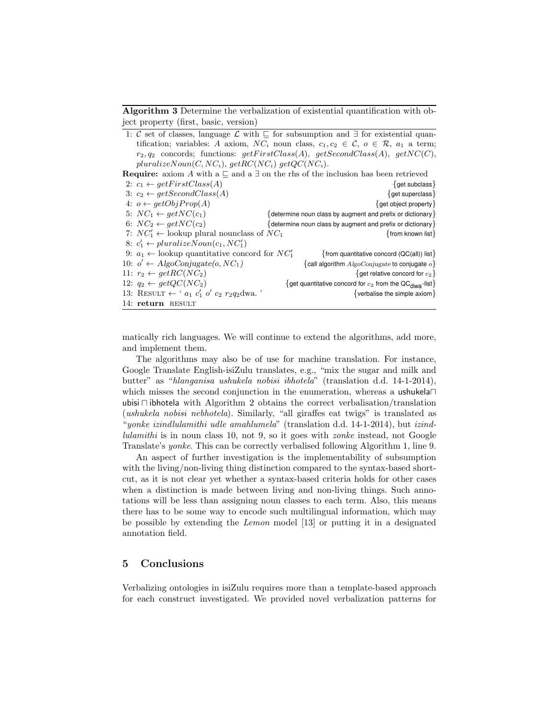Algorithm 3 Determine the verbalization of existential quantification with object property (first, basic, version)

|                                                                | 1: C set of classes, language L with $\sqsubseteq$ for subsumption and $\exists$ for existential quan-        |
|----------------------------------------------------------------|---------------------------------------------------------------------------------------------------------------|
|                                                                | tification; variables: A axiom, $NC_i$ noun class, $c_1, c_2 \in \mathcal{C}, o \in \mathcal{R}, a_1$ a term; |
|                                                                | $r_2, q_2$ concords; functions: $getFirstClass(A), getSecondClass(A), getNC(C),$                              |
| $pluralizeNoun(C, NCi)$ , $getRC(NCi)$ $getQC(NCi)$ .          |                                                                                                               |
|                                                                | <b>Require:</b> axiom A with a $\sqsubset$ and a $\exists$ on the rhs of the inclusion has been retrieved     |
| 2: $c_1 \leftarrow qetFirstClass(A)$                           | $\{$ get subclass $\}$                                                                                        |
| 3: $c_2 \leftarrow getSecondClass(A)$                          | $\{$ get superclass $\}$                                                                                      |
| 4: $o \leftarrow getObjProp(A)$                                | {get object property}                                                                                         |
| 5: $NC_1 \leftarrow getNC(c_1)$                                | {determine noun class by augment and prefix or dictionary}                                                    |
| 6: $NC_2 \leftarrow getNC(c_2)$                                | $\{$ determine noun class by augment and prefix or dictionary $\}$                                            |
| 7: $NC_1' \leftarrow$ lookup plural nounclass of $NC_1$        | $\{$ from known list $\}$                                                                                     |
| 8: $c'_1 \leftarrow pluralizeNoun(c_1, NC'_1)$                 |                                                                                                               |
| 9: $a_1 \leftarrow$ lookup quantitative concord for $NC'_1$    | {from quantitative concord ( $QC(all)$ ) list}                                                                |
| 10: $o' \leftarrow$ AlgoConjugate(o, NC <sub>1</sub> )         | {call algorithm $AlgoConjugate$ to conjugate $o$ }                                                            |
| 11: $r_2 \leftarrow \text{getRC}(NC_2)$                        | {get relative concord for $c_2$ }                                                                             |
| 12: $q_2 \leftarrow \text{getQC}(NC_2)$                        | {get quantitative concord for $c_2$ from the QC <sub>dwa</sub> -list}                                         |
| 13: RESULT $\leftarrow$ ' $a_1$ $c'_1$ o' $c_2$ $r_2q_2dwa.$ ' | {verbalise the simple $axiom$ }                                                                               |
| 14: return RESULT                                              |                                                                                                               |
|                                                                |                                                                                                               |

matically rich languages. We will continue to extend the algorithms, add more, and implement them.

The algorithms may also be of use for machine translation. For instance, Google Translate English-isiZulu translates, e.g., "mix the sugar and milk and butter" as "hlanganisa ushukela nobisi ibhotela" (translation d.d. 14-1-2014), which misses the second conjunction in the enumeration, whereas a ushukela $\Box$ ubisi  $\Box$  ibhotela with Algorithm 2 obtains the correct verbalisation/translation (ushukela nobisi nebhotela). Similarly, "all giraffes eat twigs" is translated as "yonke izindlulamithi udle amahlumela" (translation d.d. 14-1-2014), but izindlulamithi is in noun class 10, not 9, so it goes with zonke instead, not Google Translate's yonke. This can be correctly verbalised following Algorithm 1, line 9.

An aspect of further investigation is the implementability of subsumption with the living/non-living thing distinction compared to the syntax-based shortcut, as it is not clear yet whether a syntax-based criteria holds for other cases when a distinction is made between living and non-living things. Such annotations will be less than assigning noun classes to each term. Also, this means there has to be some way to encode such multilingual information, which may be possible by extending the Lemon model [13] or putting it in a designated annotation field.

# 5 Conclusions

Verbalizing ontologies in isiZulu requires more than a template-based approach for each construct investigated. We provided novel verbalization patterns for